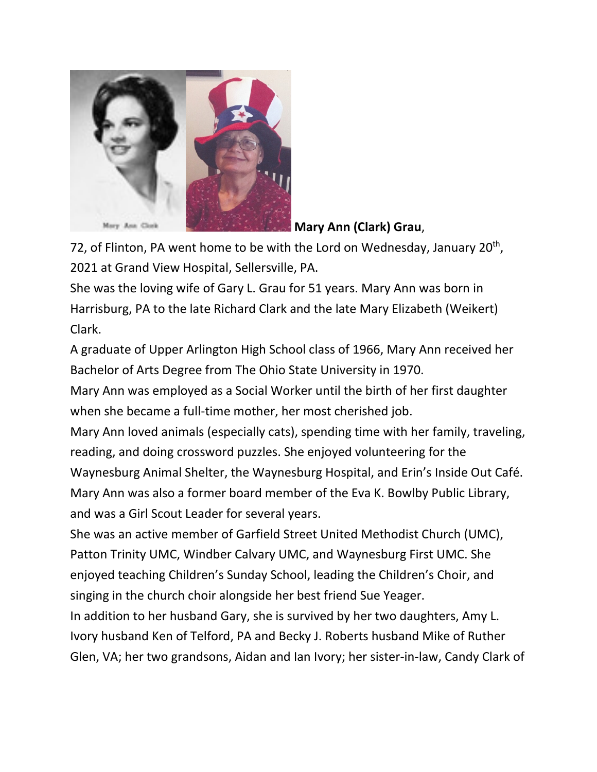

**Mary Ann (Clark) Grau**,

72, of Flinton, PA went home to be with the Lord on Wednesday, January  $20<sup>th</sup>$ , 2021 at Grand View Hospital, Sellersville, PA.

She was the loving wife of Gary L. Grau for 51 years. Mary Ann was born in Harrisburg, PA to the late Richard Clark and the late Mary Elizabeth (Weikert) Clark.

A graduate of Upper Arlington High School class of 1966, Mary Ann received her Bachelor of Arts Degree from The Ohio State University in 1970.

Mary Ann was employed as a Social Worker until the birth of her first daughter when she became a full-time mother, her most cherished job.

Mary Ann loved animals (especially cats), spending time with her family, traveling, reading, and doing crossword puzzles. She enjoyed volunteering for the Waynesburg Animal Shelter, the Waynesburg Hospital, and Erin's Inside Out Café. Mary Ann was also a former board member of the Eva K. Bowlby Public Library, and was a Girl Scout Leader for several years.

She was an active member of Garfield Street United Methodist Church (UMC), Patton Trinity UMC, Windber Calvary UMC, and Waynesburg First UMC. She enjoyed teaching Children's Sunday School, leading the Children's Choir, and singing in the church choir alongside her best friend Sue Yeager.

In addition to her husband Gary, she is survived by her two daughters, Amy L. Ivory husband Ken of Telford, PA and Becky J. Roberts husband Mike of Ruther Glen, VA; her two grandsons, Aidan and Ian Ivory; her sister-in-law, Candy Clark of